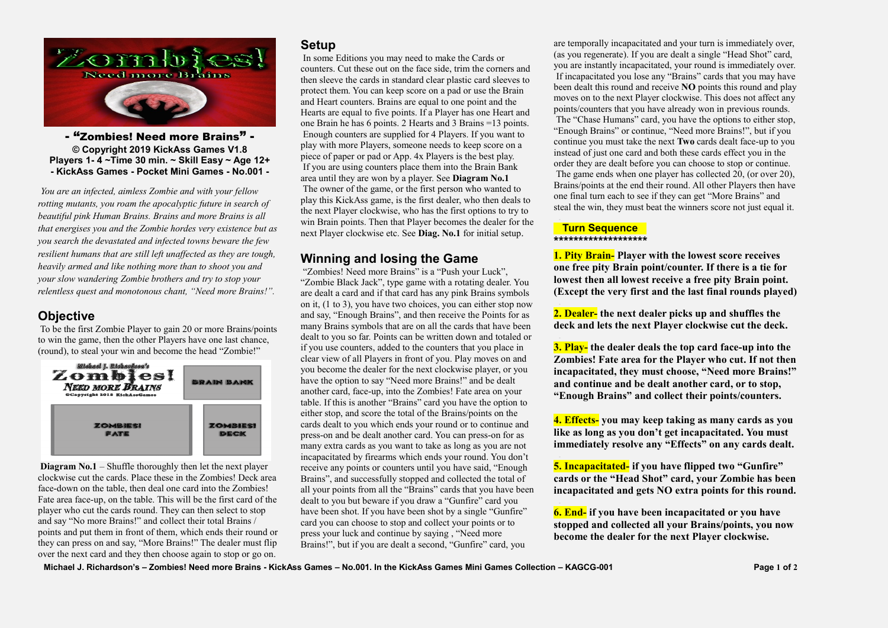

- "Zombies! Need more Brains" - **© Copyright 2019 KickAss Games V1.8 Players 1- 4 ~Time 30 min. ~ Skill Easy ~ Age 12+ - KickAss Games - Pocket Mini Games - No.001 -**

*You are an infected, aimless Zombie and with your fellow rotting mutants, you roam the apocalyptic future in search of beautiful pink Human Brains. Brains and more Brains is all that energises you and the Zombie hordes very existence but as you search the devastated and infected towns beware the few resilient humans that are still left unaffected as they are tough, heavily armed and like nothing more than to shoot you and your slow wandering Zombie brothers and try to stop your relentless quest and monotonous chant, "Need more Brains!".*

## **Objective**

To be the first Zombie Player to gain 20 or more Brains/points to win the game, then the other Players have one last chance, (round), to steal your win and become the head "Zombie!"



**Diagram No.1** – Shuffle thoroughly then let the next player clockwise cut the cards. Place these in the Zombies! Deck area face-down on the table, then deal one card into the Zombies! Fate area face-up, on the table. This will be the first card of the player who cut the cards round. They can then select to stop and say "No more Brains!" and collect their total Brains / points and put them in front of them, which ends their round or they can press on and say, "More Brains!" The dealer must flip over the next card and they then choose again to stop or go on.

# **Setup**

In some Editions you may need to make the Cards or counters. Cut these out on the face side, trim the corners and then sleeve the cards in standard clear plastic card sleeves to protect them. You can keep score on a pad or use the Brain and Heart counters. Brains are equal to one point and the Hearts are equal to five points. If a Player has one Heart and one Brain he has 6 points. 2 Hearts and 3 Brains =13 points. Enough counters are supplied for 4 Players. If you want to play with more Players, someone needs to keep score on a piece of paper or pad or App. 4x Players is the best play. If you are using counters place them into the Brain Bank area until they are won by a player. See **Diagram No.1** The owner of the game, or the first person who wanted to play this KickAss game, is the first dealer, who then deals to the next Player clockwise, who has the first options to try to win Brain points. Then that Player becomes the dealer for the next Player clockwise etc. See **Diag. No.1** for initial setup.

## **Winning and losing the Game**

"Zombies! Need more Brains" is a "Push your Luck", "Zombie Black Jack", type game with a rotating dealer. You are dealt a card and if that card has any pink Brains symbols on it, (1 to 3), you have two choices, you can either stop now and say, "Enough Brains", and then receive the Points for as many Brains symbols that are on all the cards that have been dealt to you so far. Points can be written down and totaled or if you use counters, added to the counters that you place in clear view of all Players in front of you. Play moves on and you become the dealer for the next clockwise player, or you have the option to say "Need more Brains!" and be dealt another card, face-up, into the Zombies! Fate area on your table. If this is another "Brains" card you have the option to either stop, and score the total of the Brains/points on the cards dealt to you which ends your round or to continue and press-on and be dealt another card. You can press-on for as many extra cards as you want to take as long as you are not incapacitated by firearms which ends your round. You don't receive any points or counters until you have said, "Enough Brains", and successfully stopped and collected the total of all your points from all the "Brains" cards that you have been dealt to you but beware if you draw a "Gunfire" card you have been shot. If you have been shot by a single "Gunfire" card you can choose to stop and collect your points or to press your luck and continue by saying , "Need more Brains!", but if you are dealt a second, "Gunfire" card, you

are temporally incapacitated and your turn is immediately over, (as you regenerate). If you are dealt a single "Head Shot" card, you are instantly incapacitated, your round is immediately over. If incapacitated you lose any "Brains" cards that you may have been dealt this round and receive **NO** points this round and play moves on to the next Player clockwise. This does not affect any points/counters that you have already won in previous rounds. The "Chase Humans" card, you have the options to either stop, "Enough Brains" or continue, "Need more Brains!", but if you continue you must take the next **Two** cards dealt face-up to you instead of just one card and both these cards effect you in the order they are dealt before you can choose to stop or continue. The game ends when one player has collected 20, (or over 20), Brains/points at the end their round. All other Players then have one final turn each to see if they can get "More Brains" and steal the win, they must beat the winners score not just equal it.

### **Turn Sequence**  \*\*\*\*\*\*\*\*\*\*\*\*\*\*\*\*\*\*

**1. Pity Brain- Player with the lowest score receives one free pity Brain point/counter. If there is a tie for lowest then all lowest receive a free pity Brain point. (Except the very first and the last final rounds played)**

**2. Dealer- the next dealer picks up and shuffles the deck and lets the next Player clockwise cut the deck.**

**3. Play- the dealer deals the top card face-up into the Zombies! Fate area for the Player who cut. If not then incapacitated, they must choose, "Need more Brains!" and continue and be dealt another card, or to stop, "Enough Brains" and collect their points/counters.** 

**4. Effects- you may keep taking as many cards as you like as long as you don't get incapacitated. You must immediately resolve any "Effects" on any cards dealt.**

**5. Incapacitated- if you have flipped two "Gunfire" cards or the "Head Shot" card, your Zombie has been incapacitated and gets NO extra points for this round.** 

**6. End- if you have been incapacitated or you have stopped and collected all your Brains/points, you now become the dealer for the next Player clockwise.**